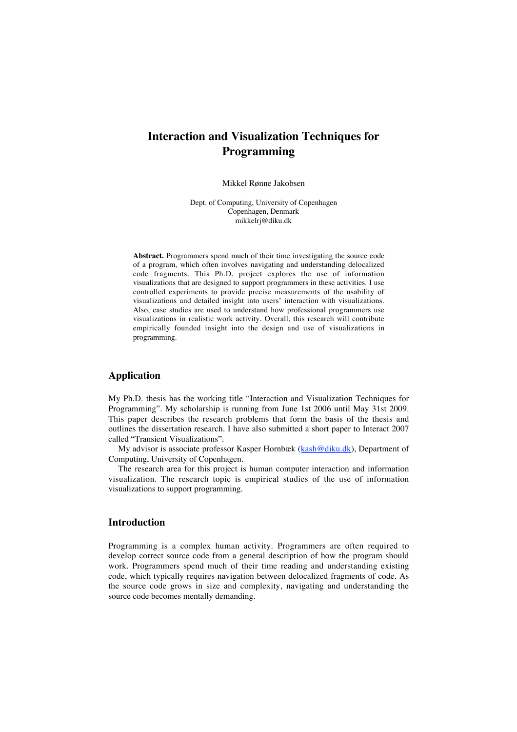# **Interaction and Visualization Techniques for Programming**

Mikkel Rønne Jakobsen

Dept. of Computing, University of Copenhagen Copenhagen, Denmark mikkelrj@diku.dk

**Abstract.** Programmers spend much of their time investigating the source code of a program, which often involves navigating and understanding delocalized code fragments. This Ph.D. project explores the use of information visualizations that are designed to support programmers in these activities. I use controlled experiments to provide precise measurements of the usability of visualizations and detailed insight into users' interaction with visualizations. Also, case studies are used to understand how professional programmers use visualizations in realistic work activity. Overall, this research will contribute empirically founded insight into the design and use of visualizations in programming.

# **Application**

My Ph.D. thesis has the working title "Interaction and Visualization Techniques for Programming". My scholarship is running from June 1st 2006 until May 31st 2009. This paper describes the research problems that form the basis of the thesis and outlines the dissertation research. I have also submitted a short paper to Interact 2007 called "Transient Visualizations".

My advisor is associate professor Kasper Hornbæk (kash@diku.dk), Department of Computing, University of Copenhagen.

The research area for this project is human computer interaction and information visualization. The research topic is empirical studies of the use of information visualizations to support programming.

# **Introduction**

Programming is a complex human activity. Programmers are often required to develop correct source code from a general description of how the program should work. Programmers spend much of their time reading and understanding existing code, which typically requires navigation between delocalized fragments of code. As the source code grows in size and complexity, navigating and understanding the source code becomes mentally demanding.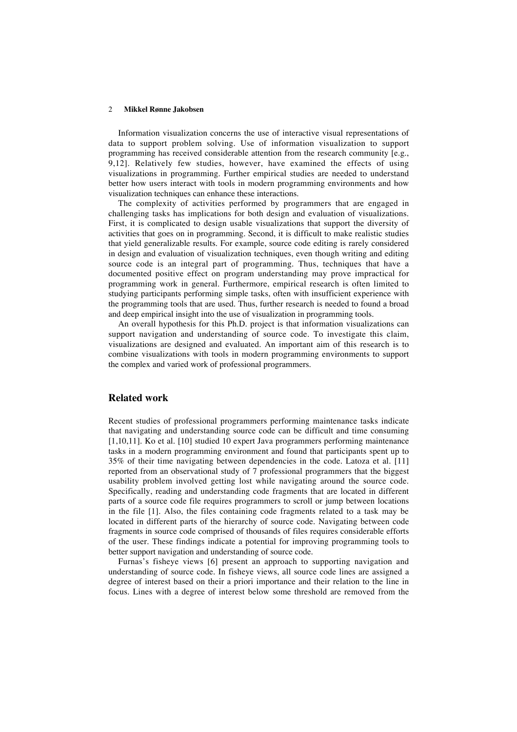#### 2 **Mikkel Rønne Jakobsen**

Information visualization concerns the use of interactive visual representations of data to support problem solving. Use of information visualization to support programming has received considerable attention from the research community [e.g., 9,12]. Relatively few studies, however, have examined the effects of using visualizations in programming. Further empirical studies are needed to understand better how users interact with tools in modern programming environments and how visualization techniques can enhance these interactions.

The complexity of activities performed by programmers that are engaged in challenging tasks has implications for both design and evaluation of visualizations. First, it is complicated to design usable visualizations that support the diversity of activities that goes on in programming. Second, it is difficult to make realistic studies that yield generalizable results. For example, source code editing is rarely considered in design and evaluation of visualization techniques, even though writing and editing source code is an integral part of programming. Thus, techniques that have a documented positive effect on program understanding may prove impractical for programming work in general. Furthermore, empirical research is often limited to studying participants performing simple tasks, often with insufficient experience with the programming tools that are used. Thus, further research is needed to found a broad and deep empirical insight into the use of visualization in programming tools.

An overall hypothesis for this Ph.D. project is that information visualizations can support navigation and understanding of source code. To investigate this claim, visualizations are designed and evaluated. An important aim of this research is to combine visualizations with tools in modern programming environments to support the complex and varied work of professional programmers.

### **Related work**

Recent studies of professional programmers performing maintenance tasks indicate that navigating and understanding source code can be difficult and time consuming [1,10,11]. Ko et al. [10] studied 10 expert Java programmers performing maintenance tasks in a modern programming environment and found that participants spent up to 35% of their time navigating between dependencies in the code. Latoza et al. [11] reported from an observational study of 7 professional programmers that the biggest usability problem involved getting lost while navigating around the source code. Specifically, reading and understanding code fragments that are located in different parts of a source code file requires programmers to scroll or jump between locations in the file [1]. Also, the files containing code fragments related to a task may be located in different parts of the hierarchy of source code. Navigating between code fragments in source code comprised of thousands of files requires considerable efforts of the user. These findings indicate a potential for improving programming tools to better support navigation and understanding of source code.

Furnas's fisheye views [6] present an approach to supporting navigation and understanding of source code. In fisheye views, all source code lines are assigned a degree of interest based on their a priori importance and their relation to the line in focus. Lines with a degree of interest below some threshold are removed from the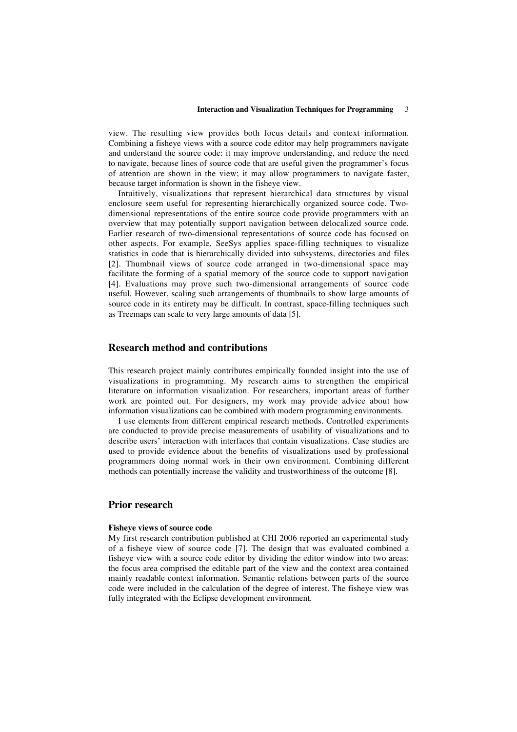view. The resulting view provides both focus details and context information. Combining a fisheye views with a source code editor may help programmers navigate and understand the source code: it may improve understanding, and reduce the need to navigate, because lines of source code that are useful given the programmer's focus of attention are shown in the view; it may allow programmers to navigate faster, because target information is shown in the fisheye view.

Intuitively, visualizations that represent hierarchical data structures by visual enclosure seem useful for representing hierarchically organized source code. Twodimensional representations of the entire source code provide programmers with an overview that may potentially support navigation between delocalized source code. Earlier research of two-dimensional representations of source code has focused on other aspects. For example, SeeSys applies space-filling techniques to visualize statistics in code that is hierarchically divided into subsystems, directories and files [2]. Thumbnail views of source code arranged in two-dimensional space may facilitate the forming of a spatial memory of the source code to support navigation [4]. Evaluations may prove such two-dimensional arrangements of source code useful. However, scaling such arrangements of thumbnails to show large amounts of source code in its entirety may be difficult. In contrast, space-filling techniques such as Treemaps can scale to very large amounts of data [5].

### **Research method and contributions**

This research project mainly contributes empirically founded insight into the use of visualizations in programming. My research aims to strengthen the empirical literature on information visualization. For researchers, important areas of further work are pointed out. For designers, my work may provide advice about how information visualizations can be combined with modern programming environments.

I use elements from different empirical research methods. Controlled experiments are conducted to provide precise measurements of usability of visualizations and to describe users' interaction with interfaces that contain visualizations. Case studies are used to provide evidence about the benefits of visualizations used by professional programmers doing normal work in their own environment. Combining different methods can potentially increase the validity and trustworthiness of the outcome [8].

### **Prior research**

#### **Fisheye views of source code**

My first research contribution published at CHI 2006 reported an experimental study of a fisheye view of source code [7]. The design that was evaluated combined a fisheye view with a source code editor by dividing the editor window into two areas: the focus area comprised the editable part of the view and the context area contained mainly readable context information. Semantic relations between parts of the source code were included in the calculation of the degree of interest. The fisheye view was fully integrated with the Eclipse development environment.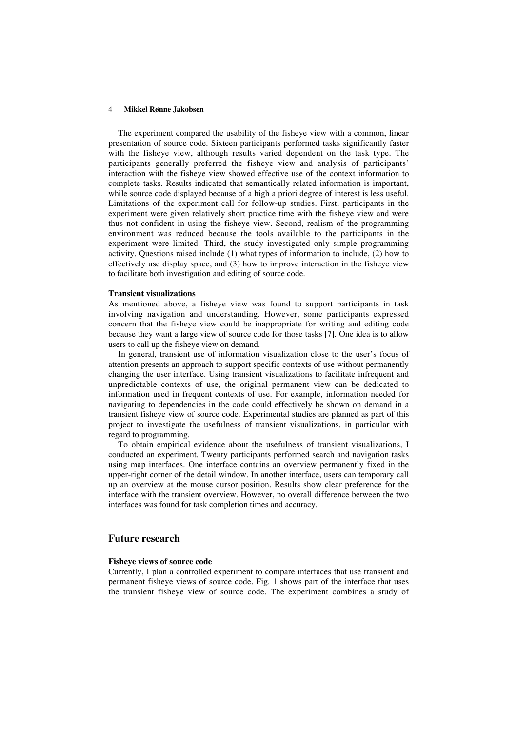#### 4 **Mikkel Rønne Jakobsen**

The experiment compared the usability of the fisheye view with a common, linear presentation of source code. Sixteen participants performed tasks significantly faster with the fisheye view, although results varied dependent on the task type. The participants generally preferred the fisheye view and analysis of participants' interaction with the fisheye view showed effective use of the context information to complete tasks. Results indicated that semantically related information is important, while source code displayed because of a high a priori degree of interest is less useful. Limitations of the experiment call for follow-up studies. First, participants in the experiment were given relatively short practice time with the fisheye view and were thus not confident in using the fisheye view. Second, realism of the programming environment was reduced because the tools available to the participants in the experiment were limited. Third, the study investigated only simple programming activity. Questions raised include (1) what types of information to include, (2) how to effectively use display space, and (3) how to improve interaction in the fisheye view to facilitate both investigation and editing of source code.

#### **Transient visualizations**

As mentioned above, a fisheye view was found to support participants in task involving navigation and understanding. However, some participants expressed concern that the fisheye view could be inappropriate for writing and editing code because they want a large view of source code for those tasks [7]. One idea is to allow users to call up the fisheye view on demand.

In general, transient use of information visualization close to the user's focus of attention presents an approach to support specific contexts of use without permanently changing the user interface. Using transient visualizations to facilitate infrequent and unpredictable contexts of use, the original permanent view can be dedicated to information used in frequent contexts of use. For example, information needed for navigating to dependencies in the code could effectively be shown on demand in a transient fisheye view of source code. Experimental studies are planned as part of this project to investigate the usefulness of transient visualizations, in particular with regard to programming.

To obtain empirical evidence about the usefulness of transient visualizations, I conducted an experiment. Twenty participants performed search and navigation tasks using map interfaces. One interface contains an overview permanently fixed in the upper-right corner of the detail window. In another interface, users can temporary call up an overview at the mouse cursor position. Results show clear preference for the interface with the transient overview. However, no overall difference between the two interfaces was found for task completion times and accuracy.

#### **Future research**

#### **Fisheye views of source code**

Currently, I plan a controlled experiment to compare interfaces that use transient and permanent fisheye views of source code. Fig. 1 shows part of the interface that uses the transient fisheye view of source code. The experiment combines a study of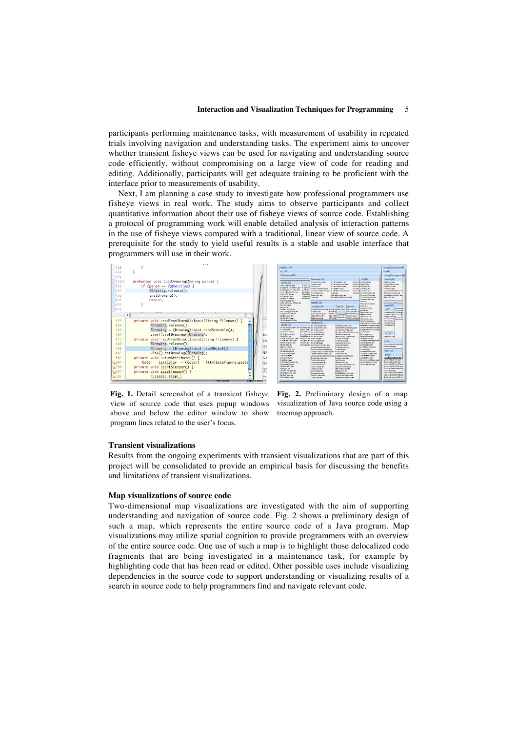participants performing maintenance tasks, with measurement of usability in repeated trials involving navigation and understanding tasks. The experiment aims to uncover whether transient fisheye views can be used for navigating and understanding source code efficiently, without compromising on a large view of code for reading and editing. Additionally, participants will get adequate training to be proficient with the interface prior to measurements of usability.

Next, I am planning a case study to investigate how professional programmers use fisheye views in real work. The study aims to observe participants and collect quantitative information about their use of fisheye views of source code. Establishing a protocol of programming work will enable detailed analysis of interaction patterns in the use of fisheye views compared with a traditional, linear view of source code. A prerequisite for the study to yield useful results is a stable and usable interface that programmers will use in their work.





**Fig. 1.** Detail screenshot of a transient fisheye view of source code that uses popup windows above and below the editor window to show program lines related to the user's focus.

**Fig. 2.** Preliminary design of a map visualization of Java source code using a treemap approach.

#### **Transient visualizations**

Results from the ongoing experiments with transient visualizations that are part of this project will be consolidated to provide an empirical basis for discussing the benefits and limitations of transient visualizations.

#### **Map visualizations of source code**

Two-dimensional map visualizations are investigated with the aim of supporting understanding and navigation of source code. Fig. 2 shows a preliminary design of such a map, which represents the entire source code of a Java program. Map visualizations may utilize spatial cognition to provide programmers with an overview of the entire source code. One use of such a map is to highlight those delocalized code fragments that are being investigated in a maintenance task, for example by highlighting code that has been read or edited. Other possible uses include visualizing dependencies in the source code to support understanding or visualizing results of a search in source code to help programmers find and navigate relevant code.